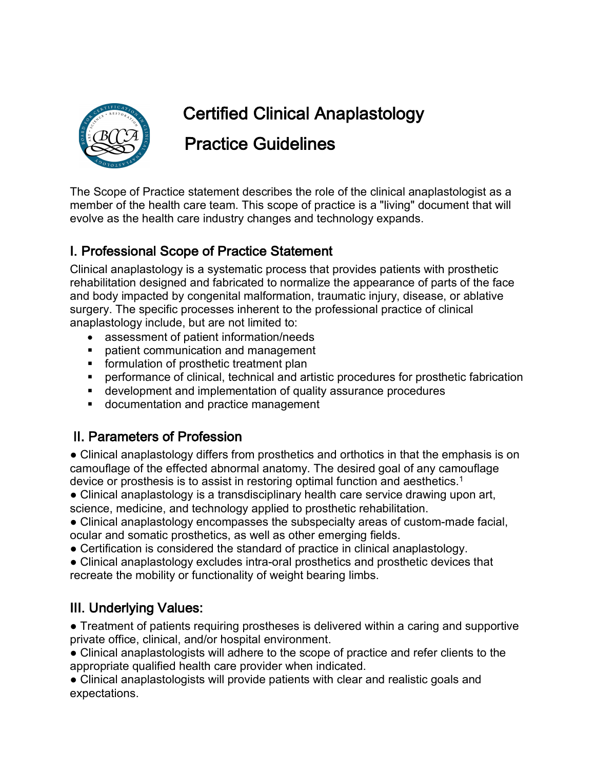

# Certified Clinical Anaplastology

## Practice Guidelines

The Scope of Practice statement describes the role of the clinical anaplastologist as a member of the health care team. This scope of practice is a "living" document that will evolve as the health care industry changes and technology expands.

#### I. Professional Scope of Practice Statement

Clinical anaplastology is a systematic process that provides patients with prosthetic rehabilitation designed and fabricated to normalize the appearance of parts of the face and body impacted by congenital malformation, traumatic injury, disease, or ablative surgery. The specific processes inherent to the professional practice of clinical anaplastology include, but are not limited to:

- assessment of patient information/needs
- patient communication and management
- formulation of prosthetic treatment plan
- performance of clinical, technical and artistic procedures for prosthetic fabrication
- development and implementation of quality assurance procedures
- documentation and practice management

#### II. Parameters of Profession

• Clinical anaplastology differs from prosthetics and orthotics in that the emphasis is on camouflage of the effected abnormal anatomy. The desired goal of any camouflage device or prosthesis is to assist in restoring optimal function and aesthetics.1

• Clinical anaplastology is a transdisciplinary health care service drawing upon art, science, medicine, and technology applied to prosthetic rehabilitation.

● Clinical anaplastology encompasses the subspecialty areas of custom-made facial, ocular and somatic prosthetics, as well as other emerging fields.

● Certification is considered the standard of practice in clinical anaplastology.

● Clinical anaplastology excludes intra-oral prosthetics and prosthetic devices that recreate the mobility or functionality of weight bearing limbs.

### III. Underlying Values:

• Treatment of patients requiring prostheses is delivered within a caring and supportive private office, clinical, and/or hospital environment.

● Clinical anaplastologists will adhere to the scope of practice and refer clients to the appropriate qualified health care provider when indicated.

● Clinical anaplastologists will provide patients with clear and realistic goals and expectations.